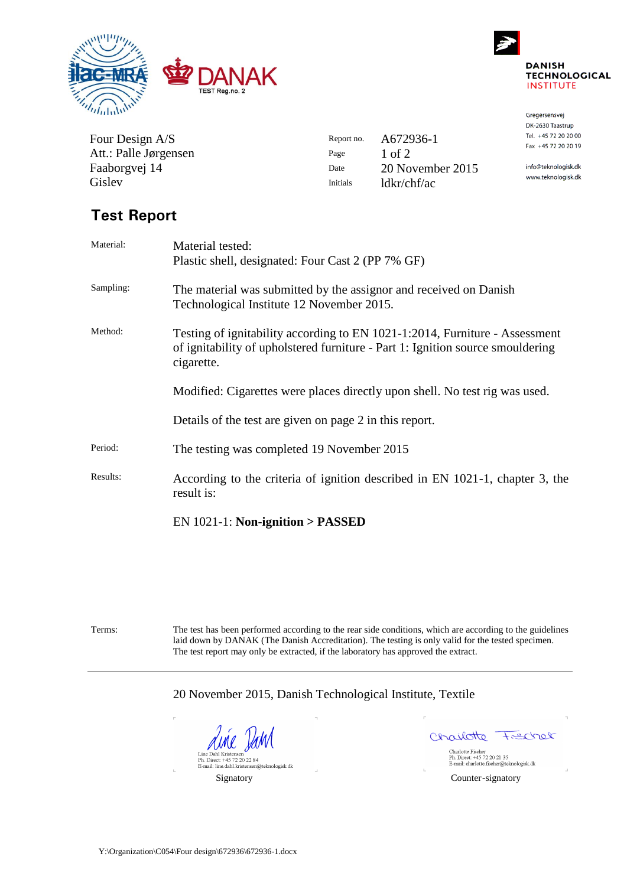



Gregersensvej DK-2630 Taastrup Tel. +45 72 20 20 00 Fax +45 72 20 20 19 info@teknologisk.dk www.teknologisk.dk

| Four Design A/S       | Report no. | A672936-1        |
|-----------------------|------------|------------------|
| Att.: Palle Jørgensen | Page       | $1$ of $2$       |
| Faaborgvej 14         | Date       | 20 November 2015 |
| Gislev                | Initials   | ldkr/chf/ac      |
|                       |            |                  |

# **Test Report**

| Material: | Material tested:                                                                                                                                                            |  |  |  |  |
|-----------|-----------------------------------------------------------------------------------------------------------------------------------------------------------------------------|--|--|--|--|
|           | Plastic shell, designated: Four Cast 2 (PP 7% GF)                                                                                                                           |  |  |  |  |
| Sampling: | The material was submitted by the assignor and received on Danish<br>Technological Institute 12 November 2015.                                                              |  |  |  |  |
| Method:   | Testing of ignitability according to EN 1021-1:2014, Furniture - Assessment<br>of ignitability of upholstered furniture - Part 1: Ignition source smouldering<br>cigarette. |  |  |  |  |
|           | Modified: Cigarettes were places directly upon shell. No test rig was used.                                                                                                 |  |  |  |  |
|           | Details of the test are given on page 2 in this report.                                                                                                                     |  |  |  |  |
| Period:   | The testing was completed 19 November 2015                                                                                                                                  |  |  |  |  |
| Results:  | According to the criteria of ignition described in EN 1021-1, chapter 3, the<br>result is:                                                                                  |  |  |  |  |
|           | $EN 1021-1$ : Non-ignition > PASSED                                                                                                                                         |  |  |  |  |

Terms: The test has been performed according to the rear side conditions, which are according to the guidelines laid down by DANAK (The Danish Accreditation). The testing is only valid for the tested specimen. The test report may only be extracted, if the laboratory has approved the extract.

20 November 2015, Danish Technological Institute, Textile

une Vaml Line Dahl Kristensen<br>
Ph. Direct: +45 72 20 22 84<br>
E-mail: line.dahl.kristensen@teknologisk.dk

Charlotte  $700027 +$ 

Charlotte Fischer<br>Ph. Direct: +45 72 20 21 35<br>E-mail: charlotte.fischer@teknologisk.dk

Signatory Counter-signatory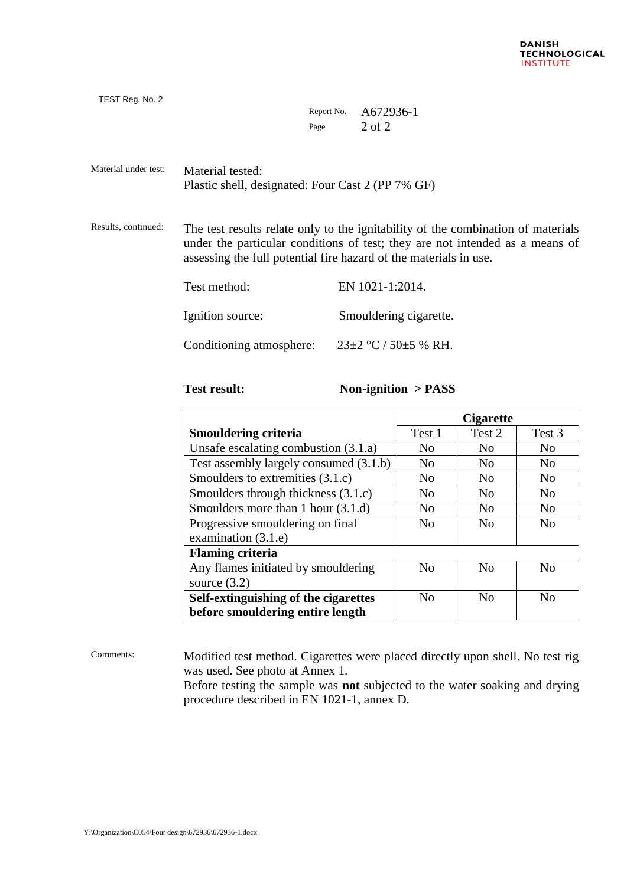| Report No. | A672936-1 |
|------------|-----------|
| Page       | 2 of 2    |

Material under test: Material tested: Plastic shell, designated: Four Cast 2 (PP 7% GF)

Results, continued: The test results relate only to the ignitability of the combination of materials under the particular conditions of test; they are not intended as a means of assessing the full potential fire hazard of the materials in use.

| Test method:             | EN 1021-1:2014.                |  |  |
|--------------------------|--------------------------------|--|--|
| Ignition source:         | Smouldering cigarette.         |  |  |
| Conditioning atmosphere: | $23\pm2$ °C / 50 $\pm$ 5 % RH. |  |  |

TEST Reg. No. 2

### **Test result: Non-ignition > PASS**

|                                        | <b>Cigarette</b> |                |                |  |
|----------------------------------------|------------------|----------------|----------------|--|
| <b>Smouldering criteria</b>            | Test 1           | Test 2         | Test 3         |  |
| Unsafe escalating combustion (3.1.a)   | N <sub>0</sub>   | N <sub>0</sub> | N <sub>0</sub> |  |
| Test assembly largely consumed (3.1.b) | N <sub>0</sub>   | N <sub>0</sub> | N <sub>0</sub> |  |
| Smoulders to extremities (3.1.c)       | N <sub>0</sub>   | N <sub>0</sub> | N <sub>0</sub> |  |
| Smoulders through thickness (3.1.c)    | N <sub>0</sub>   | N <sub>0</sub> | N <sub>0</sub> |  |
| Smoulders more than 1 hour (3.1.d)     | N <sub>0</sub>   | N <sub>0</sub> | N <sub>0</sub> |  |
| Progressive smouldering on final       | N <sub>0</sub>   | N <sub>0</sub> | N <sub>0</sub> |  |
| examination (3.1.e)                    |                  |                |                |  |
| <b>Flaming criteria</b>                |                  |                |                |  |
| Any flames initiated by smouldering    | N <sub>0</sub>   | No             | No             |  |
| source $(3.2)$                         |                  |                |                |  |
| Self-extinguishing of the cigarettes   | N <sub>0</sub>   | N <sub>o</sub> | N <sub>0</sub> |  |
| before smouldering entire length       |                  |                |                |  |

Comments: Modified test method. Cigarettes were placed directly upon shell. No test rig was used. See photo at Annex 1. Before testing the sample was **not** subjected to the water soaking and drying

procedure described in EN 1021-1, annex D.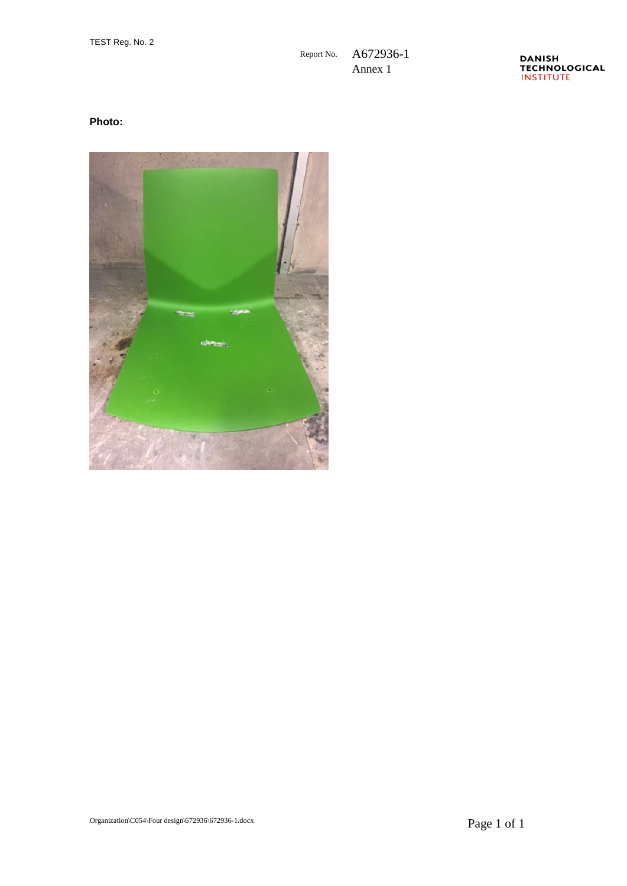DANISH<br>TECHNOLOGICAL<br>INSTITUTE

## **Photo:**